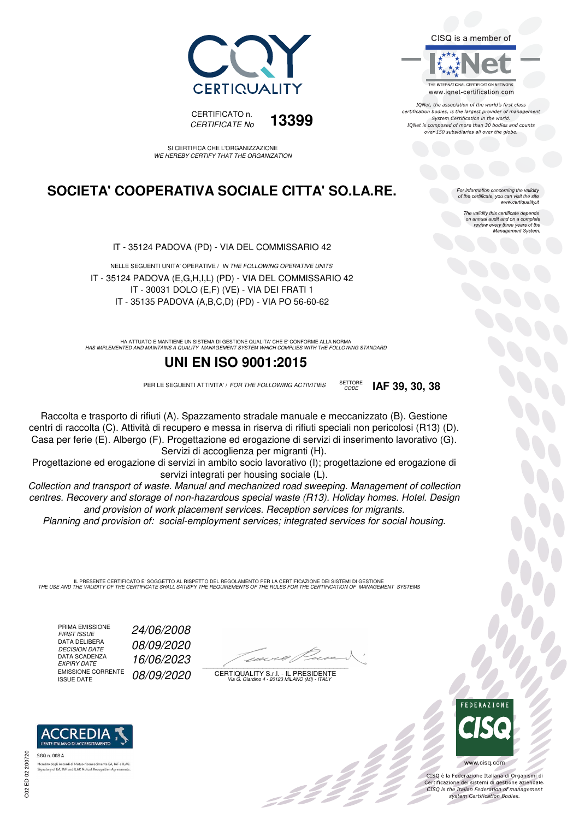



SI CERTIFICA CHE L'ORGANIZZAZIONE *WE HEREBY CERTIFY THAT THE ORGANIZATION*

# **SOCIETA' COOPERATIVA SOCIALE CITTA' SO.LA.RE.**

IT - 35124 PADOVA (PD) - VIA DEL COMMISSARIO 42

NELLE SEGUENTI UNITA' OPERATIVE / *IN THE FOLLOWING OPERATIVE UNITS* IT - 35124 PADOVA (E,G,H,I,L) (PD) - VIA DEL COMMISSARIO 42 IT - 30031 DOLO (E,F) (VE) - VIA DEI FRATI 1 IT - 35135 PADOVA (A,B,C,D) (PD) - VIA PO 56-60-62

HA ATTUATO E MANTIENE UN SISTEMA DI GESTIONE QUALITA' CHE E' CONFORME ALLA NORMA<br>HAS IMPLEMENTED AND MAINTAINS A QUALITY MANAGEMENT SYSTEM WHICH COMPLIES WITH THE FOLLOWING STANDARD

# **UNI EN ISO 9001:2015**

PER LE SEGUENTI ATTIVITA' / *FOR THE FOLLOWING ACTIVITIES* SETTORE

Raccolta e trasporto di rifiuti (A). Spazzamento stradale manuale e meccanizzato (B). Gestione centri di raccolta (C). Attività di recupero e messa in riserva di rifiuti speciali non pericolosi (R13) (D). Casa per ferie (E). Albergo (F). Progettazione ed erogazione di servizi di inserimento lavorativo (G). Servizi di accoglienza per migranti (H).

Progettazione ed erogazione di servizi in ambito socio lavorativo (I); progettazione ed erogazione di servizi integrati per housing sociale (L).

*Collection and transport of waste. Manual and mechanized road sweeping. Management of collection centres. Recovery and storage of non-hazardous special waste (R13). Holiday homes. Hotel. Design and provision of work placement services. Reception services for migrants.*

*Planning and provision of: social-employment services; integrated services for social housing.*

IL PRESENTE CERTIFICATO E' SOGGETTO AL RISPETTO DEL REGOLAMENTO PER LA CERTIFICAZIONE DEI SISTEMI DI GESTIONE<br>THE USE AND THE VALIDITY OF THE CERTIFICATE SHALL SATISFY THE REQUIREMENTS OF THE RULES FOR THE CERTIFICATION OF

PRIMA EMISSIONE<br>FIRST ISSUE DATA DELIBERA<br>DECISION DATE DATA SCADENZA<br>EXPIRY DATE EMISSIONE CORRENTE<br>ISSUE DATE *FIRST ISSUE 24/06/2008 DECISION DATE 08/09/2020 EXPIRY DATE 16/06/2023* ISSUE DATE *08/09/2020*

 $\overline{\phantom{a}}$ 

:42 P

CERTIQUALITY S.r.l. - IL PRESIDENTE *Via G. Giardino 4 - 20123 MILANO (MI) - ITALY*



IONet, the association of the world's first class certification bodies, is the largest provider of management System Certification in the world. IQNet is composed of more than 30 bodies and counts over 150 subsidiaries all over the globe.

*CODE* **IAF 39, 30, 38**

For information concerning the validity<br>of the certificate, you can visit the site<br>www.certiquality.it

The validity this certificate depends on annual audit and on a complete review every three years of the Management System.



CISQ è la Federazione Italiana di Organismi di Certificazione dei sistemi di gestione aziendale.<br>CISQ is the Italian Federation of management system Certification Bodies.



ory of EA, IAF and ILAC Mutual Recogni